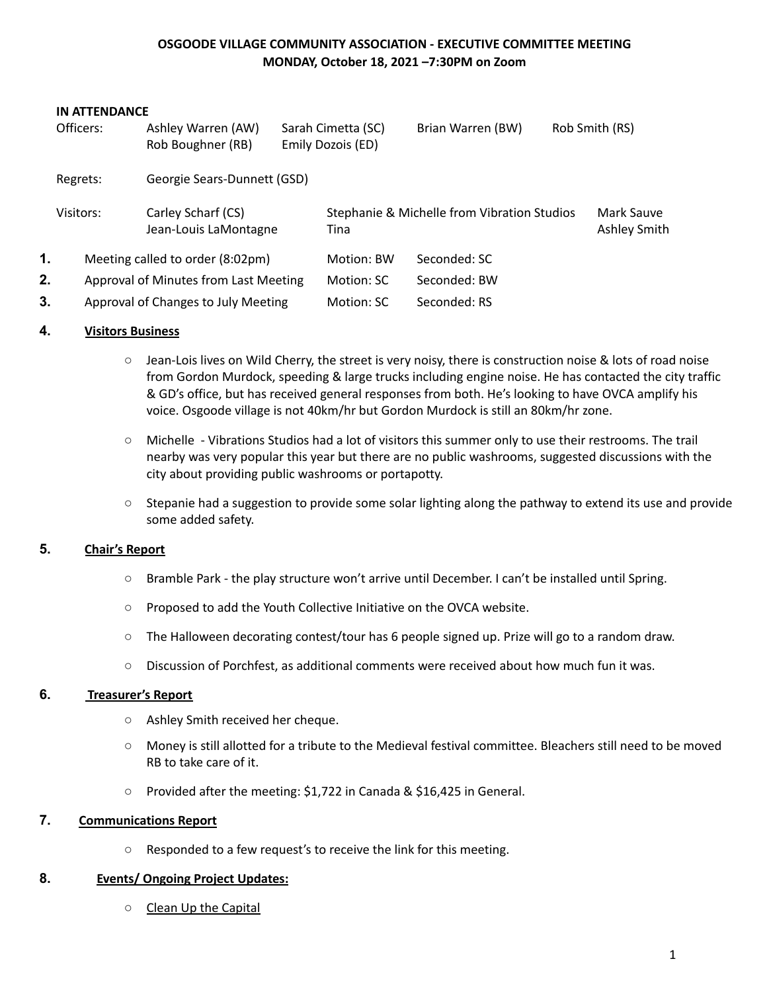## **OSGOODE VILLAGE COMMUNITY ASSOCIATION - EXECUTIVE COMMITTEE MEETING MONDAY, October 18, 2021 –7:30PM on Zoom**

| <b>IN ATTENDANCE</b> |                                         |                                             |            |                                                     |                   |                |                            |
|----------------------|-----------------------------------------|---------------------------------------------|------------|-----------------------------------------------------|-------------------|----------------|----------------------------|
|                      | Officers:                               | Ashley Warren (AW)                          |            | Sarah Cimetta (SC)                                  | Brian Warren (BW) | Rob Smith (RS) |                            |
|                      |                                         | Rob Boughner (RB)                           |            | Emily Dozois (ED)                                   |                   |                |                            |
|                      | Georgie Sears-Dunnett (GSD)<br>Regrets: |                                             |            |                                                     |                   |                |                            |
|                      | Visitors:                               | Carley Scharf (CS)<br>Jean-Louis LaMontagne |            | Stephanie & Michelle from Vibration Studios<br>Tina |                   |                | Mark Sauve<br>Ashley Smith |
| 1.                   | Meeting called to order (8:02pm)        |                                             | Motion: BW | Seconded: SC                                        |                   |                |                            |
| 2.                   | Approval of Minutes from Last Meeting   |                                             | Motion: SC | Seconded: BW                                        |                   |                |                            |
| 3.                   | Approval of Changes to July Meeting     |                                             |            | Motion: SC                                          | Seconded: RS      |                |                            |

## **4. Visitors Business**

- Jean-Lois lives on Wild Cherry, the street is very noisy, there is construction noise & lots of road noise from Gordon Murdock, speeding & large trucks including engine noise. He has contacted the city traffic & GD's office, but has received general responses from both. He's looking to have OVCA amplify his voice. Osgoode village is not 40km/hr but Gordon Murdock is still an 80km/hr zone.
- Michelle Vibrations Studios had a lot of visitors this summer only to use their restrooms. The trail nearby was very popular this year but there are no public washrooms, suggested discussions with the city about providing public washrooms or portapotty.
- Stepanie had a suggestion to provide some solar lighting along the pathway to extend its use and provide some added safety.

## **5. Chair's Report**

- Bramble Park the play structure won't arrive until December. I can't be installed until Spring.
- Proposed to add the Youth Collective Initiative on the OVCA website.
- The Halloween decorating contest/tour has 6 people signed up. Prize will go to a random draw.
- Discussion of Porchfest, as additional comments were received about how much fun it was.

## **6. Treasurer's Report**

- Ashley Smith received her cheque.
- Money is still allotted for a tribute to the Medieval festival committee. Bleachers still need to be moved RB to take care of it.
- Provided after the meeting: \$1,722 in Canada & \$16,425 in General.

# **7. Communications Report**

○ Responded to a few request's to receive the link for this meeting.

## **8. Events/ Ongoing Project Updates:**

○ Clean Up the Capital